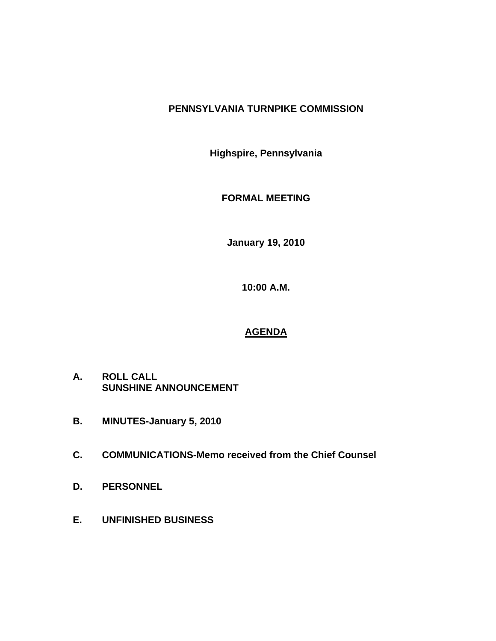# **PENNSYLVANIA TURNPIKE COMMISSION**

**Highspire, Pennsylvania** 

**FORMAL MEETING** 

**January 19, 2010** 

**10:00 A.M.** 

# **AGENDA**

- **A. ROLL CALL SUNSHINE ANNOUNCEMENT**
- **B. MINUTES-January 5, 2010**
- **C. COMMUNICATIONS-Memo received from the Chief Counsel**
- **D. PERSONNEL**
- **E. UNFINISHED BUSINESS**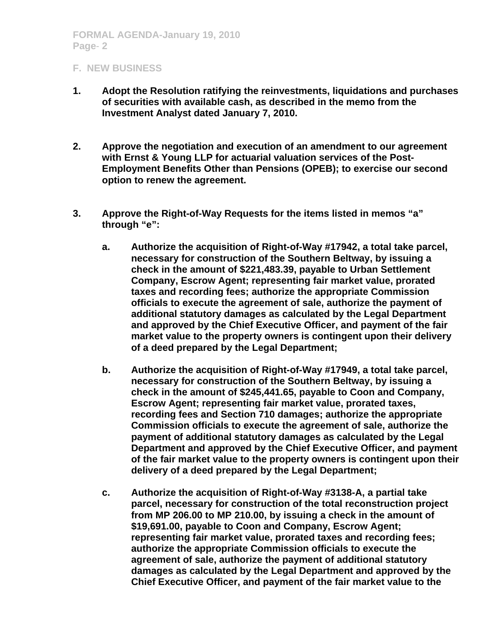## **F. NEW BUSINESS**

- **1. Adopt the Resolution ratifying the reinvestments, liquidations and purchases of securities with available cash, as described in the memo from the Investment Analyst dated January 7, 2010.**
- **2. Approve the negotiation and execution of an amendment to our agreement with Ernst & Young LLP for actuarial valuation services of the Post-Employment Benefits Other than Pensions (OPEB); to exercise our second option to renew the agreement.**
- **3. Approve the Right-of-Way Requests for the items listed in memos "a" through "e":** 
	- **a. Authorize the acquisition of Right-of-Way #17942, a total take parcel, necessary for construction of the Southern Beltway, by issuing a check in the amount of \$221,483.39, payable to Urban Settlement Company, Escrow Agent; representing fair market value, prorated taxes and recording fees; authorize the appropriate Commission officials to execute the agreement of sale, authorize the payment of additional statutory damages as calculated by the Legal Department and approved by the Chief Executive Officer, and payment of the fair market value to the property owners is contingent upon their delivery of a deed prepared by the Legal Department;**
	- **b. Authorize the acquisition of Right-of-Way #17949, a total take parcel, necessary for construction of the Southern Beltway, by issuing a check in the amount of \$245,441.65, payable to Coon and Company, Escrow Agent; representing fair market value, prorated taxes, recording fees and Section 710 damages; authorize the appropriate Commission officials to execute the agreement of sale, authorize the payment of additional statutory damages as calculated by the Legal Department and approved by the Chief Executive Officer, and payment of the fair market value to the property owners is contingent upon their delivery of a deed prepared by the Legal Department;**
	- **c. Authorize the acquisition of Right-of-Way #3138-A, a partial take parcel, necessary for construction of the total reconstruction project from MP 206.00 to MP 210.00, by issuing a check in the amount of \$19,691.00, payable to Coon and Company, Escrow Agent; representing fair market value, prorated taxes and recording fees; authorize the appropriate Commission officials to execute the agreement of sale, authorize the payment of additional statutory damages as calculated by the Legal Department and approved by the Chief Executive Officer, and payment of the fair market value to the**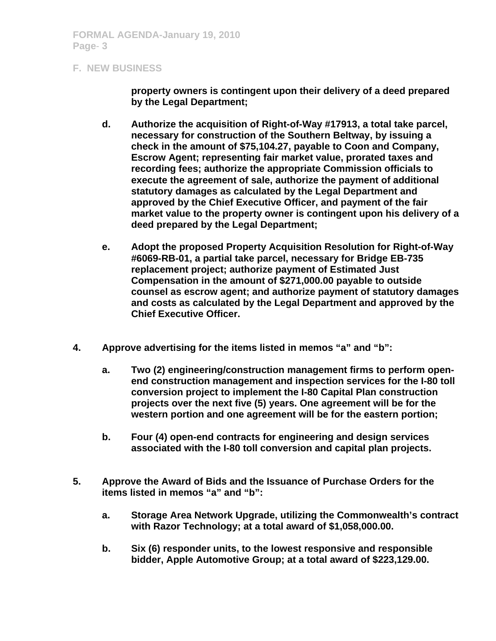#### **F. NEW BUSINESS**

**property owners is contingent upon their delivery of a deed prepared by the Legal Department;** 

- **d. Authorize the acquisition of Right-of-Way #17913, a total take parcel, necessary for construction of the Southern Beltway, by issuing a check in the amount of \$75,104.27, payable to Coon and Company, Escrow Agent; representing fair market value, prorated taxes and recording fees; authorize the appropriate Commission officials to execute the agreement of sale, authorize the payment of additional statutory damages as calculated by the Legal Department and approved by the Chief Executive Officer, and payment of the fair market value to the property owner is contingent upon his delivery of a deed prepared by the Legal Department;**
- **e. Adopt the proposed Property Acquisition Resolution for Right-of-Way #6069-RB-01, a partial take parcel, necessary for Bridge EB-735 replacement project; authorize payment of Estimated Just Compensation in the amount of \$271,000.00 payable to outside counsel as escrow agent; and authorize payment of statutory damages and costs as calculated by the Legal Department and approved by the Chief Executive Officer.**
- **4. Approve advertising for the items listed in memos "a" and "b":** 
	- **a. Two (2) engineering/construction management firms to perform openend construction management and inspection services for the I-80 toll conversion project to implement the I-80 Capital Plan construction projects over the next five (5) years. One agreement will be for the western portion and one agreement will be for the eastern portion;**
	- **b. Four (4) open-end contracts for engineering and design services associated with the I-80 toll conversion and capital plan projects.**
- **5. Approve the Award of Bids and the Issuance of Purchase Orders for the items listed in memos "a" and "b":** 
	- **a. Storage Area Network Upgrade, utilizing the Commonwealth's contract with Razor Technology; at a total award of \$1,058,000.00.**
	- **b. Six (6) responder units, to the lowest responsive and responsible bidder, Apple Automotive Group; at a total award of \$223,129.00.**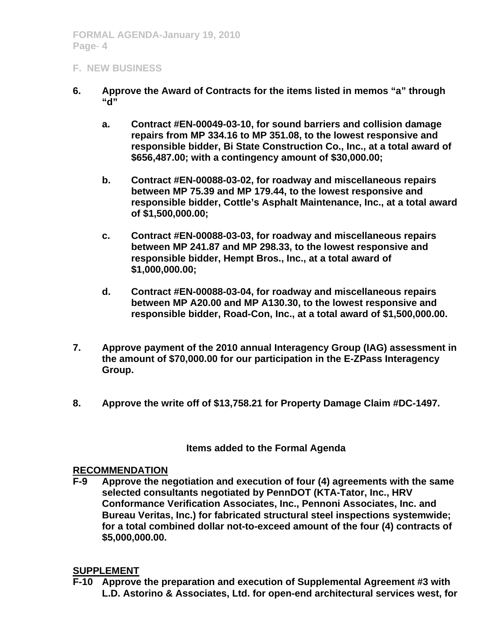## **F. NEW BUSINESS**

- **6. Approve the Award of Contracts for the items listed in memos "a" through "d"** 
	- **a. Contract #EN-00049-03-10, for sound barriers and collision damage repairs from MP 334.16 to MP 351.08, to the lowest responsive and responsible bidder, Bi State Construction Co., Inc., at a total award of \$656,487.00; with a contingency amount of \$30,000.00;**
	- **b. Contract #EN-00088-03-02, for roadway and miscellaneous repairs between MP 75.39 and MP 179.44, to the lowest responsive and responsible bidder, Cottle's Asphalt Maintenance, Inc., at a total award of \$1,500,000.00;**
	- **c. Contract #EN-00088-03-03, for roadway and miscellaneous repairs between MP 241.87 and MP 298.33, to the lowest responsive and responsible bidder, Hempt Bros., Inc., at a total award of \$1,000,000.00;**
	- **d. Contract #EN-00088-03-04, for roadway and miscellaneous repairs between MP A20.00 and MP A130.30, to the lowest responsive and responsible bidder, Road-Con, Inc., at a total award of \$1,500,000.00.**
- **7. Approve payment of the 2010 annual Interagency Group (IAG) assessment in the amount of \$70,000.00 for our participation in the E-ZPass Interagency Group.**
- **8. Approve the write off of \$13,758.21 for Property Damage Claim #DC-1497.**

### **Items added to the Formal Agenda**

### **RECOMMENDATION**

**F-9 Approve the negotiation and execution of four (4) agreements with the same selected consultants negotiated by PennDOT (KTA-Tator, Inc., HRV Conformance Verification Associates, Inc., Pennoni Associates, Inc. and Bureau Veritas, Inc.) for fabricated structural steel inspections systemwide; for a total combined dollar not-to-exceed amount of the four (4) contracts of \$5,000,000.00.** 

### **SUPPLEMENT**

**F-10 Approve the preparation and execution of Supplemental Agreement #3 with L.D. Astorino & Associates, Ltd. for open-end architectural services west, for**